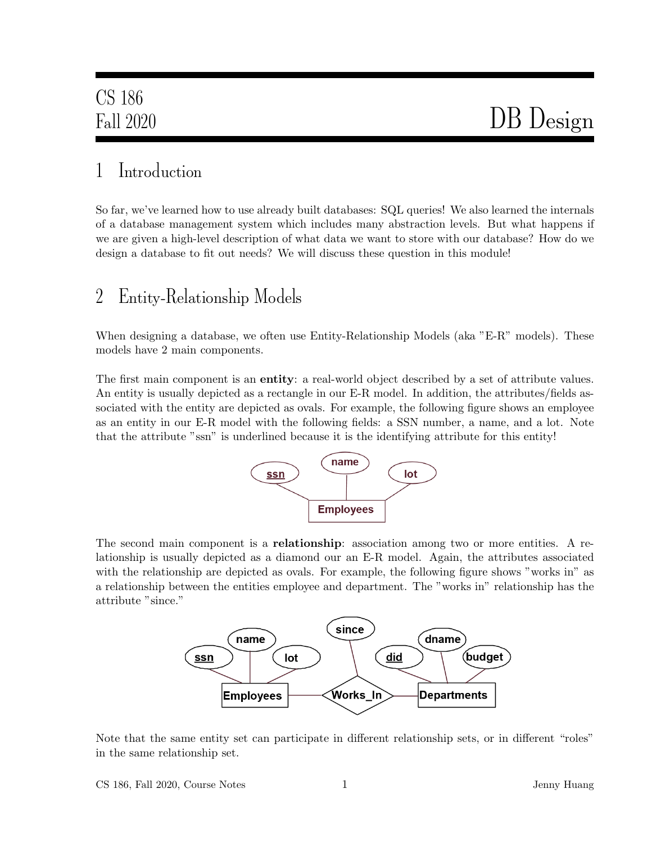## 1 Introduction

So far, we've learned how to use already built databases: SQL queries! We also learned the internals of a database management system which includes many abstraction levels. But what happens if we are given a high-level description of what data we want to store with our database? How do we design a database to fit out needs? We will discuss these question in this module!

## 2 Entity-Relationship Models

When designing a database, we often use Entity-Relationship Models (aka "E-R" models). These models have 2 main components.

The first main component is an **entity**: a real-world object described by a set of attribute values. An entity is usually depicted as a rectangle in our E-R model. In addition, the attributes/fields associated with the entity are depicted as ovals. For example, the following figure shows an employee as an entity in our E-R model with the following fields: a SSN number, a name, and a lot. Note that the attribute "ssn" is underlined because it is the identifying attribute for this entity!



The second main component is a **relationship**: association among two or more entities. A relationship is usually depicted as a diamond our an E-R model. Again, the attributes associated with the relationship are depicted as ovals. For example, the following figure shows "works in" as a relationship between the entities employee and department. The "works in" relationship has the attribute "since."



Note that the same entity set can participate in different relationship sets, or in different "roles" in the same relationship set.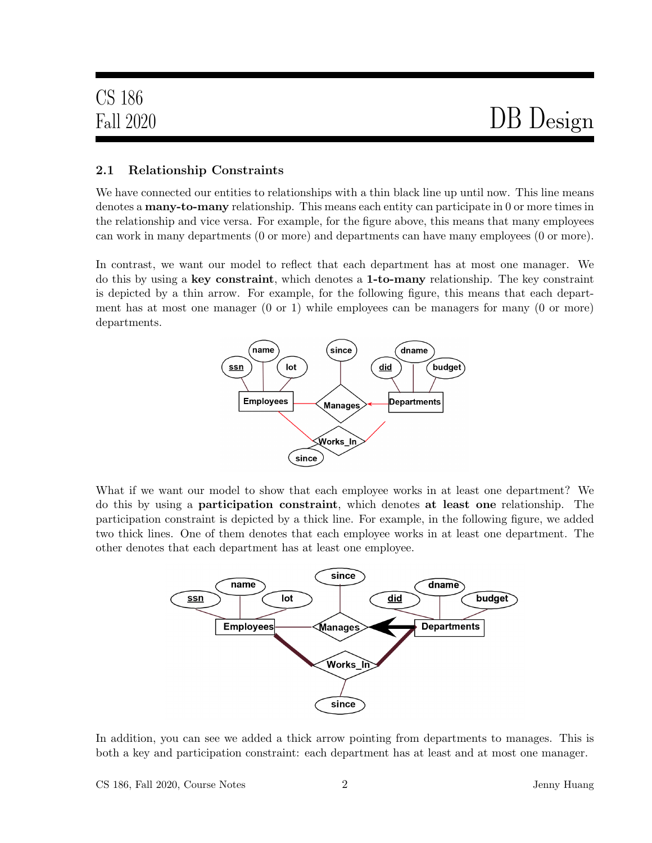# Fall 2020 DB Design

#### 2.1 Relationship Constraints

We have connected our entities to relationships with a thin black line up until now. This line means denotes a many-to-many relationship. This means each entity can participate in 0 or more times in the relationship and vice versa. For example, for the figure above, this means that many employees can work in many departments (0 or more) and departments can have many employees (0 or more).

In contrast, we want our model to reflect that each department has at most one manager. We do this by using a key constraint, which denotes a 1-to-many relationship. The key constraint is depicted by a thin arrow. For example, for the following figure, this means that each department has at most one manager  $(0 \text{ or } 1)$  while employees can be managers for many  $(0 \text{ or } \text{more})$ departments.



What if we want our model to show that each employee works in at least one department? We do this by using a participation constraint, which denotes at least one relationship. The participation constraint is depicted by a thick line. For example, in the following figure, we added two thick lines. One of them denotes that each employee works in at least one department. The other denotes that each department has at least one employee.



In addition, you can see we added a thick arrow pointing from departments to manages. This is both a key and participation constraint: each department has at least and at most one manager.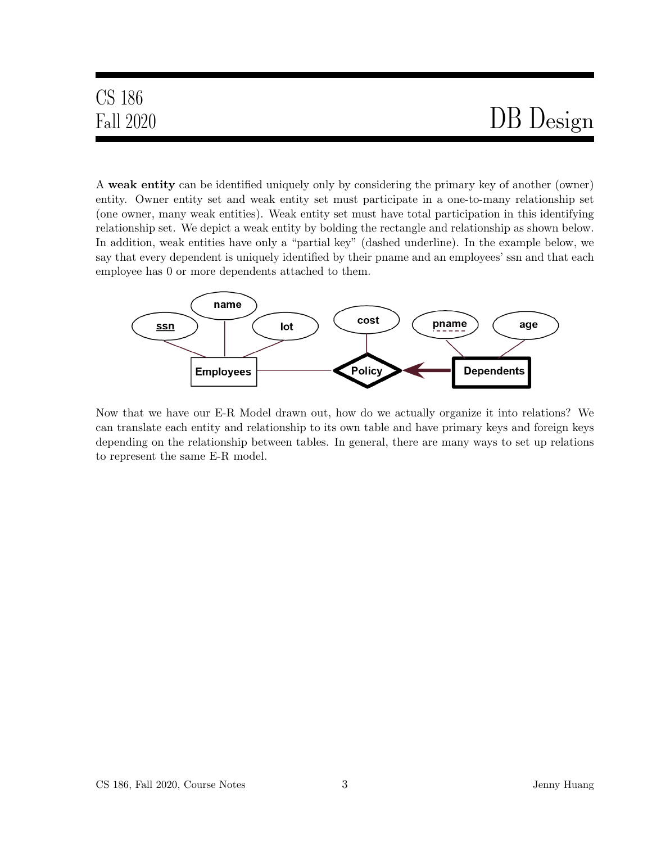# Fall 2020 DB Design

A weak entity can be identified uniquely only by considering the primary key of another (owner) entity. Owner entity set and weak entity set must participate in a one-to-many relationship set (one owner, many weak entities). Weak entity set must have total participation in this identifying relationship set. We depict a weak entity by bolding the rectangle and relationship as shown below. In addition, weak entities have only a "partial key" (dashed underline). In the example below, we say that every dependent is uniquely identified by their pname and an employees' ssn and that each employee has 0 or more dependents attached to them.



Now that we have our E-R Model drawn out, how do we actually organize it into relations? We can translate each entity and relationship to its own table and have primary keys and foreign keys depending on the relationship between tables. In general, there are many ways to set up relations to represent the same E-R model.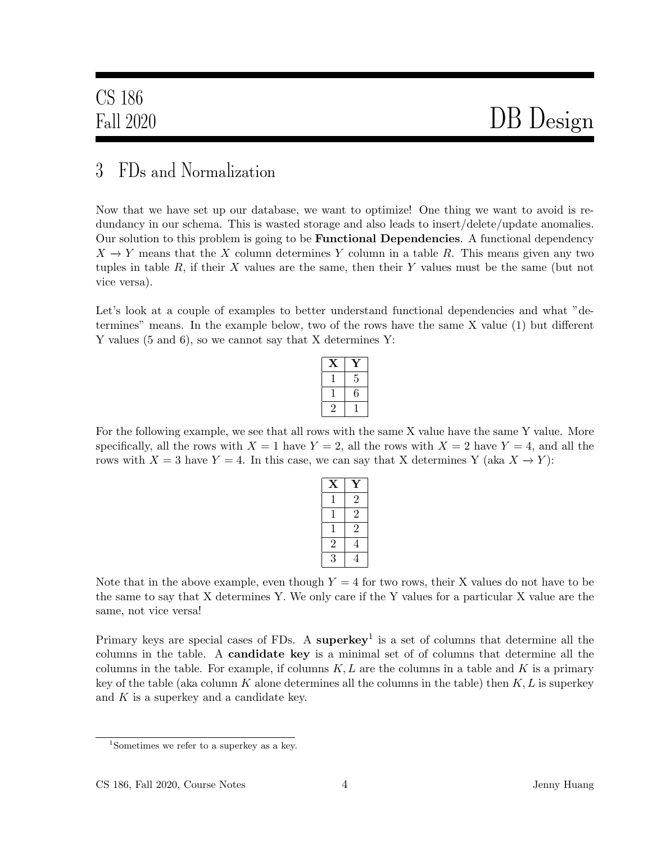## 3 FDs and Normalization

Now that we have set up our database, we want to optimize! One thing we want to avoid is redundancy in our schema. This is wasted storage and also leads to insert/delete/update anomalies. Our solution to this problem is going to be **Functional Dependencies**. A functional dependency  $X \to Y$  means that the X column determines Y column in a table R. This means given any two tuples in table  $R$ , if their  $X$  values are the same, then their  $Y$  values must be the same (but not vice versa).

Let's look at a couple of examples to better understand functional dependencies and what "determines" means. In the example below, two of the rows have the same X value (1) but different Y values (5 and 6), so we cannot say that X determines Y:

| 5 |
|---|
| 6 |
|   |

For the following example, we see that all rows with the same X value have the same Y value. More specifically, all the rows with  $X = 1$  have  $Y = 2$ , all the rows with  $X = 2$  have  $Y = 4$ , and all the rows with  $X = 3$  have  $Y = 4$ . In this case, we can say that X determines Y (aka  $X \to Y$ ):

| X              | Ý |
|----------------|---|
| ľ              | 2 |
| T              | 2 |
|                | 2 |
| 2              | 4 |
| $\overline{3}$ |   |

Note that in the above example, even though  $Y = 4$  for two rows, their X values do not have to be the same to say that X determines Y. We only care if the Y values for a particular X value are the same, not vice versa!

Primary keys are special cases of FDs. A superkey<sup>1</sup> is a set of columns that determine all the columns in the table. A candidate key is a minimal set of of columns that determine all the columns in the table. For example, if columns  $K, L$  are the columns in a table and K is a primary key of the table (aka column K alone determines all the columns in the table) then  $K, L$  is superkey and  $K$  is a superkey and a candidate key.

<sup>1</sup>Sometimes we refer to a superkey as a key.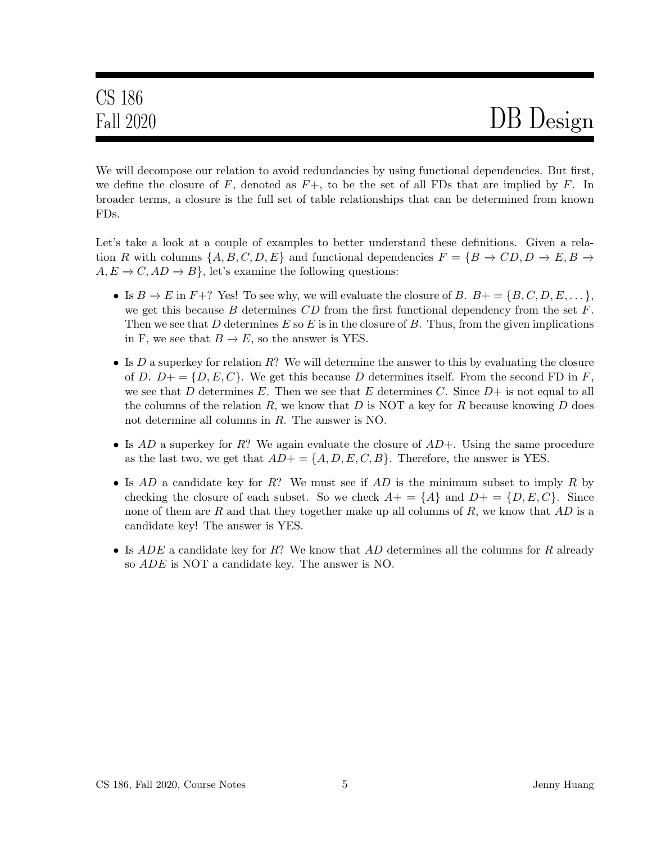We will decompose our relation to avoid redundancies by using functional dependencies. But first, we define the closure of  $F$ , denoted as  $F+$ , to be the set of all FDs that are implied by  $F$ . In broader terms, a closure is the full set of table relationships that can be determined from known FDs.

Let's take a look at a couple of examples to better understand these definitions. Given a relation R with columns  $\{A, B, C, D, E\}$  and functional dependencies  $F = \{B \to CD, D \to E, B \to$  $A, E \to C, AD \to B$ , let's examine the following questions:

- Is  $B \to E$  in  $F+$ ? Yes! To see why, we will evaluate the closure of B.  $B+ = \{B, C, D, E, \dots\}$ , we get this because B determines  $CD$  from the first functional dependency from the set  $F$ . Then we see that D determines  $E$  so  $E$  is in the closure of  $B$ . Thus, from the given implications in F, we see that  $B \to E$ , so the answer is YES.
- Is  $D$  a superkey for relation  $R$ ? We will determine the answer to this by evaluating the closure of D.  $D_{+} = \{D, E, C\}$ . We get this because D determines itself. From the second FD in F, we see that D determines E. Then we see that E determines C. Since  $D+$  is not equal to all the columns of the relation R, we know that D is NOT a key for R because knowing D does not determine all columns in R. The answer is NO.
- Is  $AD$  a superkey for R? We again evaluate the closure of  $AD+$ . Using the same procedure as the last two, we get that  $AD+=\{A, D, E, C, B\}$ . Therefore, the answer is YES.
- Is  $AD$  a candidate key for R? We must see if  $AD$  is the minimum subset to imply R by checking the closure of each subset. So we check  $A+=\{A\}$  and  $D+=\{D,E,C\}$ . Since none of them are R and that they together make up all columns of R, we know that  $AD$  is a candidate key! The answer is YES.
- Is  $ADE$  a candidate key for R? We know that  $AD$  determines all the columns for R already so ADE is NOT a candidate key. The answer is NO.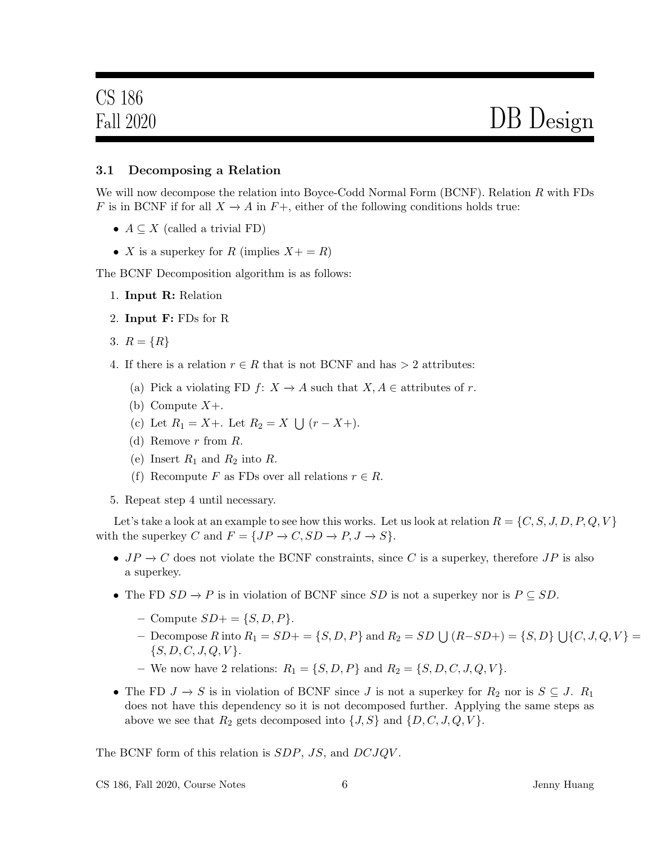#### 3.1 Decomposing a Relation

We will now decompose the relation into Boyce-Codd Normal Form (BCNF). Relation R with FDs F is in BCNF if for all  $X \to A$  in  $F+$ , either of the following conditions holds true:

- $A \subseteq X$  (called a trivial FD)
- X is a superkey for R (implies  $X + R$ )

The BCNF Decomposition algorithm is as follows:

- 1. Input R: Relation
- 2. Input F: FDs for R
- 3.  $R = \{R\}$
- 4. If there is a relation  $r \in R$  that is not BCNF and has  $> 2$  attributes:
	- (a) Pick a violating FD  $f: X \to A$  such that  $X, A \in$  attributes of r.
	- (b) Compute  $X+$ .
	- (c) Let  $R_1 = X +$ . Let  $R_2 = X \bigcup (r X +)$ .
	- (d) Remove  $r$  from  $R$ .
	- (e) Insert  $R_1$  and  $R_2$  into  $R$ .
	- (f) Recompute F as FDs over all relations  $r \in R$ .
- 5. Repeat step 4 until necessary.

Let's take a look at an example to see how this works. Let us look at relation  $R = \{C, S, J, D, P, Q, V\}$ with the superkey C and  $F = \{JP \rightarrow C, SD \rightarrow P, J \rightarrow S\}.$ 

- $JP \to C$  does not violate the BCNF constraints, since C is a superkey, therefore  $JP$  is also a superkey.
- The FD  $SD \to P$  is in violation of BCNF since  $SD$  is not a superkey nor is  $P \subseteq SD$ .
	- Compute  $SD+ = \{S, D, P\}.$
	- − Decompose R into  $R_1 = SD + = \{S, D, P\}$  and  $R_2 = SD \cup (R SD +) = \{S, D\} \cup \{C, J, Q, V\} =$  $\{S, D, C, J, Q, V\}.$
	- We now have 2 relations:  $R_1 = \{S, D, P\}$  and  $R_2 = \{S, D, C, J, Q, V\}$ .
- The FD  $J \to S$  is in violation of BCNF since J is not a superkey for  $R_2$  nor is  $S \subseteq J$ .  $R_1$ does not have this dependency so it is not decomposed further. Applying the same steps as above we see that  $R_2$  gets decomposed into  $\{J, S\}$  and  $\{D, C, J, Q, V\}$ .

The BCNF form of this relation is *SDP*, *JS*, and *DCJQV*.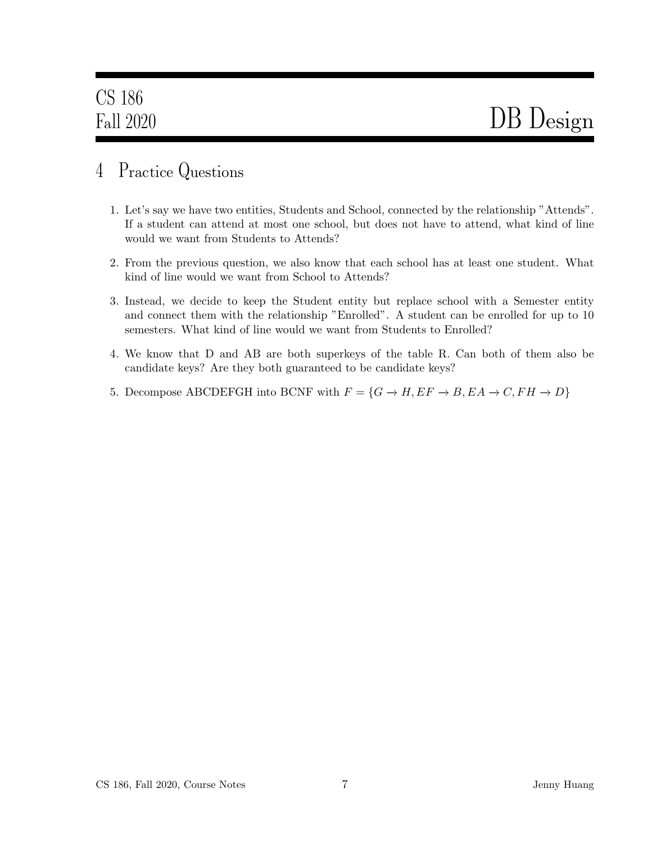### 4 Practice Questions

- 1. Let's say we have two entities, Students and School, connected by the relationship "Attends". If a student can attend at most one school, but does not have to attend, what kind of line would we want from Students to Attends?
- 2. From the previous question, we also know that each school has at least one student. What kind of line would we want from School to Attends?
- 3. Instead, we decide to keep the Student entity but replace school with a Semester entity and connect them with the relationship "Enrolled". A student can be enrolled for up to 10 semesters. What kind of line would we want from Students to Enrolled?
- 4. We know that D and AB are both superkeys of the table R. Can both of them also be candidate keys? Are they both guaranteed to be candidate keys?
- 5. Decompose ABCDEFGH into BCNF with  $F = \{G \rightarrow H, EF \rightarrow B, EA \rightarrow C, FH \rightarrow D\}$